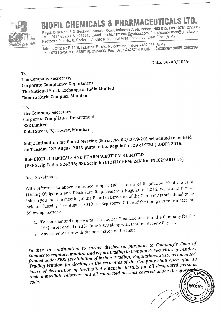

## **CHEMICALS &**

Regd. Office: 11/12, Sector-E, Sanwer Road, Industrial Area, Indore - 452 015. Fax: 0731-2723017 Tel.: 0731-2723016, 4066216 E-mail: biofilchemicals@yahoo.com / bcplcompliance@gmail.com Factory: Plot No. 8, Sector - IV, Kheda Industrial Area, Pithampur Distt. Dhar (M.P.)

Admn. Office: B-12/B, Industrial Estate, Pologround, Indore - 452 015 (M.P.) Tel.: 0731-2426700, 2426718, 2524003, Fax: 0731-2426726 CIN: L24233MP1985PLC002709

Date: 06/08/2019

To. The Company Secretary, **Corporate Compliance Department** The National Stock Exchange of India Limited Bandra Kurla Complex, Mumbai

To, The Company Secretary **Corporate Compliance Department BSE Limited** Dalal Street, P.J. Tower, Mumbai

Subj.: Intimation for Board Meeting (Serial No. 02/2019-20) scheduled to be held on Tuesday 13th August 2019 pursuant to Regulation 29 of SEBI (LODR) 2015.

## Ref- BIOFIL CHEMICALS AND PHARMACEUTICALS LIMITED (BSE Scrip Code: 524396; NSE Scrip Id: BIOFILCHEM; ISIN No: INE829A01014)

Dear Sir/Madam,

With reference to above captioned subject and in terms of Regulation 29 of the SEBI (Listing Obligation and Disclosure Requirements) Regulation 2015, we would like to inform you that the meeting of the Board of Directors of the Company is scheduled to be held on Tuesday, 13<sup>th</sup> August 2019, at Registered Office of the Company to transact the following matters:-

- 1. To consider and approve the Un-audited Financial Result of the Company for the 1st Quarter ended on 30<sup>th</sup> June 2019 along with Limited Review Report.
- 2. Any other matter with the permission of the chair.

Further, in continuation to earlier disclosure, pursuant to Company's Code of Conduct to regulate, monitor and report trading in Company's Securities by Insiders framed under SEBI (Prohibition of Insider Trading) Regulations, 2015, as amended, Trading Window for dealing in the securities of the Company shall open after 48 hours of declaration of Un-Audited Financial Results for all designated persons, their immediate relatives and all connected persons covered under the afor code.